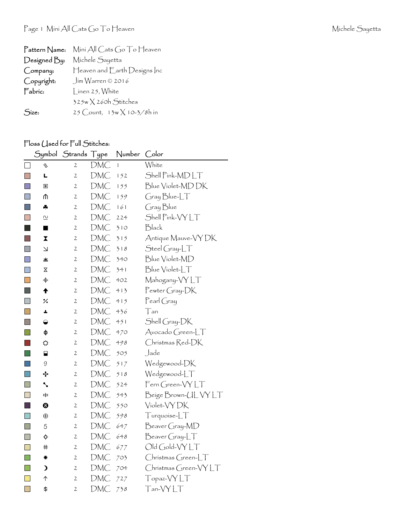| Pattern Name: | Mini All Cats Go To Heaven        |
|---------------|-----------------------------------|
| Designed By:  | Michele Sayetta                   |
| Company:      | Heaven and Earth Designs Inc      |
| Copyright:    | $\int$ ím Warren © 2016           |
| Fabric:       | Linen 25, White                   |
|               | $325w \times 260h$ Stitches       |
| Size:         | 25 Count, $13w \times 10-3/8h$ in |

## Floss (Jsed for Full Stitches:

|                |                 | Symbol Strands Type |            | Number | Color                 |
|----------------|-----------------|---------------------|------------|--------|-----------------------|
|                | J               | $\overline{2}$      | DMC        | ĺ      | White                 |
| I.             | L               | 2                   | <b>DMC</b> | 152    | Shell Pink-MDLT       |
| $\Box$         | 圏               | 2                   | DMC        | 155    | Blue Violet-MDDK      |
| $\Box$         | ⋔               | $\mathfrak{2}$      | DMC        | 159    | Gray Blue-LT          |
| $\Box$         | 4               | $\mathfrak{2}$      | DMC        | 161    | Gray Blue             |
| $\Box$         | 으               | $\mathfrak{2}$      | DMC        | 224    | Shell Pink-VYLT       |
|                | ■               | 2                   | DMC        | 310    | Black                 |
| P.             | X               | 2                   | DMC        | 315    | Antique Mauve-VY DK   |
| $\mathbb{R}^n$ | $\Delta$        | $\mathbf{2}$        | DMC        | 318    | $Stel Gray-LT$        |
| $\Box$         | 坐               | 2                   | DMC        | 340    | Blue Violet-MD        |
| $\Box$         | Χ               | $\mathfrak{2}$      | DMC        | 341    | Blue Violet-LT        |
| $\mathbf{I}$   | $\ddot{\Phi}$   | $\mathfrak{2}$      | DMC        | 402    | Mahogany-VYLT         |
| $\Box$         | $\blacklozenge$ | $\mathbf{2}$        | DMC        | 413    | Pewter Gray-DK        |
| $\Box$         | %               | 2                   | DMC        | 415    | $\mathsf{Pearl}$ Gray |
| $\blacksquare$ | A,              | 2                   | DMC        | 436    | Tan                   |
| $\mathbb{R}^n$ | ◒               | 2                   | DMC        | 451    | Shell Gray-DK         |
| $\Box$         | ф               | $\mathfrak{2}$      | DMC        | 470    | Avocado Green-LT      |
|                | ⇔               | 2                   | DMC        | 498    | Christmas Red-DK      |
| $\Box$         | ⊟               | 2                   | DMC        | 505    | Jade                  |
| $\Box$         | 9               | $\mathfrak{2}$      | DMC        | 517    | Wedgewood-DK          |
|                | ÷               | $\mathfrak{2}$      | DMC        | 518    | Wedgewood-LT          |
| F.             | ↖               | 2                   | DMC        | 524    | Fern Green-VYLT       |
| $\Box$         | \$              | $\mathfrak{2}$      | DMC        | 543    | Beige Brown-UL VY LT  |
| l st           | ❸               | 2                   | <b>DMC</b> | 550    | Violet-VY DK          |
| H              | $\oplus$        | 2                   | DMC        | 598    | Turquoise-LT          |
| H              | 5               | $\mathfrak{2}$      | DMC        | 647    | Beaver Gray-MD        |
| H              |                 | 2                   | DMC        | 648    | $\beta$ eaver Gray-LT |
| $\Box$         | ♯               | 2                   | DMC        | 677    | Old Gold-VYLT         |
| $\Box$         | ☀               | 2                   | DMC        | 703    | Christmas Green-LT    |
| $\Box$         | $\lambda$       | 2                   | DMC        | 704    | Christmas Green-VYLT  |
| $\Box$         | ↑               | 2                   | DMC        | 727    | Topaz-VYLT            |
| $\Box$         | \$              | $\mathfrak{2}$      | DMC        | 738    | Tan-VYLT              |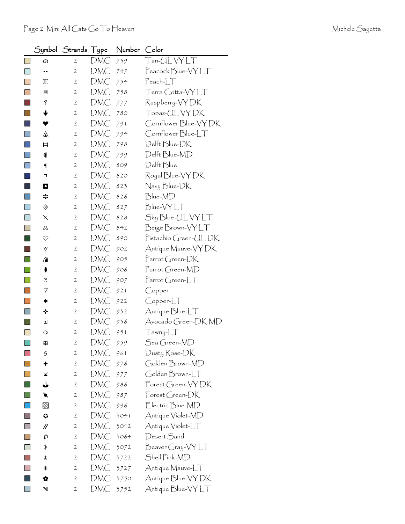|                             |                    | Symbol Strands Type |     | Number | Color                                                                     |
|-----------------------------|--------------------|---------------------|-----|--------|---------------------------------------------------------------------------|
|                             | டை                 | $\mathbf{2}$        | DMC | 739    | $T$ an- $UL$ $VYLT$                                                       |
| $\mathbb{R}^n$              |                    | $\mathfrak{2}$      | DMC | 747    | Peacock Blue-VY LT                                                        |
| П                           | π                  | 2                   | DMC | 754    | $Pearb-LT$                                                                |
|                             | ▣                  | 2                   | DMC | 758    | Terra Cotta-VY LT                                                         |
|                             | $\acute{\epsilon}$ | $\mathbf{2}$        | DMC | 777    | Raspberry-VYDK                                                            |
|                             | ╈                  | $\mathbf{2}$        | DMC | 780    | Topaz-UL VY DK                                                            |
|                             | v                  | 2                   | DMC | 791    | Cornflower Blue-VY DK                                                     |
| <b>College</b>              | ⚠                  | $\mathbf{2}$        | DMC | 794    | Cornflower Blue-LT                                                        |
|                             | Ħ                  | 2                   | DMC | 798    | Delft Blue-DK                                                             |
| ×                           |                    | $\mathbf{2}$        | DMC | 799    | Delft Blue-MD                                                             |
| H                           | ┥                  | 2                   | DMC | 809    | Delft Blue                                                                |
|                             | ٦                  | 2                   | DMC | 820    | Royal Blue-VY DK                                                          |
|                             | O                  | 2                   | DMC | 823    | Navy Blue-DK                                                              |
| ×                           | ☆                  | $\mathfrak{2}$      | DMC | 826    | Blue-MD                                                                   |
| ×                           | ◈                  | 2                   | DMC | 827    | Blue-VYLT                                                                 |
|                             | $\times$           | $\mathbf{2}$        | DMC | 828    | Sky Blue-UL VY LT                                                         |
| <b>Talent</b>               | ൿ                  | 2                   | DMC | 842    | Beige Brown-VYLT                                                          |
|                             | $\heartsuit$       | $\mathbf{2}$        | DMC | 890    | Pistachio Green-ULDK                                                      |
|                             | V                  | $\mathbf{2}$        | DMC | 902    | Antique Mauve-VY DK                                                       |
|                             | ⋒                  | $\mathfrak{2}$      | DMC | 905    | $\Gamma$ arrot Green- $DK$                                                |
|                             | $\bullet$          | $\mathbf{2}$        | DMC | 906    | Parrot Green-MD                                                           |
|                             | 3                  | 2                   | DMC | 907    | $\lceil \mathsf{arrot}(\mathsf{Green}\text{-}\llbracket \top \rrbracket)$ |
|                             | 7                  | $\mathbf{2}$        | DMC | 921    | Copper                                                                    |
|                             | ∗                  | 2                   | DMC | 922    | $C$ opper- $LT$                                                           |
| I.                          | ❖                  | 2                   | DMC | 932    | Antique Blue-LT                                                           |
|                             | ┛                  | $\mathbf{2}$        | DMC | 936    | Avocado Green-DK MD                                                       |
|                             | $\circ$            | $\mathfrak{2}$      | DMC | 951    | $T$ awny- $LT$                                                            |
| $\Box$                      | 8В                 | $\mathbf{z}$        | DMC | 959    | Sea Green-MD                                                              |
|                             | 9                  | 2                   | DMC | 961    | Dusty Rose-DK                                                             |
|                             | ٠                  | 2                   | DMC | 976    | Golden Brown-MD                                                           |
|                             | ¥                  | $\mathbf{2}$        | DMC | 977    | Golden Brown-LT                                                           |
|                             | ⇓                  | 2                   | DMC | 986    | $\mathsf{Forest}$ Green-VY DK                                             |
| $\mathcal{L}_{\mathcal{A}}$ | ◥                  | $\mathbf{2}$        | DMC | 987    | $\mathsf{Forest}$ Green-DK                                                |
|                             | $\boxtimes$        | 2                   | DMC | 996    | Electric Blue-MD                                                          |
| n                           | O                  | $\mathbf{2}$        | DMC | 3041   | Antique Violet-MD                                                         |
| $\Box$                      | //                 | 2                   | DMC | 3042   | Antique Violet-LT                                                         |
|                             | t                  | $\mathbf{2}$        | DMC | 3064   | Desert Sand                                                               |
|                             | ≯                  | 2                   | DMC | 3072   | Beaver Gray-VY LT                                                         |
|                             | t                  | 2                   | DMC | 3722   | Shell Pink-MD                                                             |
|                             | ⋇                  | 2                   | DMC | 3727   | Antique Mauve-LT                                                          |
|                             | Q                  | 2                   | DMC | 3750   | Antique Blue-VY DK                                                        |
|                             | ₩                  | 2                   | DMC | 3752   | Antique Blue-VY LT                                                        |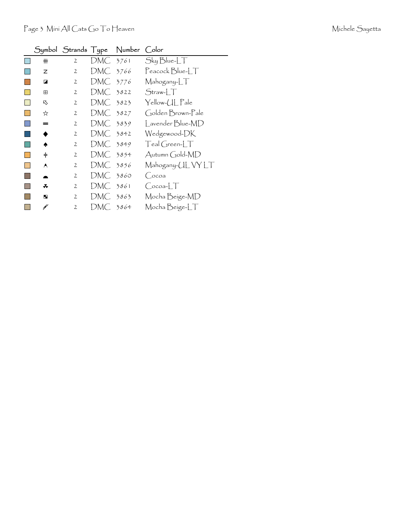| Michele Sayetta |  |
|-----------------|--|
|-----------------|--|

|   |   |                |            | Symbol Strands Type Number Color |                   |
|---|---|----------------|------------|----------------------------------|-------------------|
|   | ₩ | $\mathbf{2}$   | DMC 3761   |                                  | Sky Blue-LT       |
|   | z | 2              | DMC 3766   |                                  | Peacock Blue-LT   |
|   | ◪ | $\mathbf{2}$   | DMC 3776   |                                  | Mahogany-LT       |
|   | 田 | $\mathfrak{2}$ | DMC 3822   |                                  | $Straw-LT$        |
|   | 叺 | $\mathbf{2}$   | DMC 3823   |                                  | Yellow-UL Pale    |
|   | ☆ | $\mathbf{2}$   | DMC 3827   |                                  | Golden Brown-Pale |
|   | = | $\mathbf{2}$   | DMC 3839   |                                  | Lavender Blue-MD  |
|   | ◆ | $\mathbf{2}$   | $DMC$ 3842 |                                  | Wedgewood-DK      |
|   | ٠ | $\mathbf{2}$   | $DMC$ 3849 |                                  | $Teal Green-LT$   |
| L | ≑ | $\mathbf{2}$   | DMC 3854   |                                  | Autumn Gold-MD    |
|   | A | $\mathbf{2}$   | DMC 3856   |                                  | Mahogany-ULVYLT   |
|   |   | $\mathbf{2}$   | DMC 3860   |                                  | (Cocoa            |
|   | ິ | $\mathbf{2}$   | DMC 3861   |                                  | $Cocoa-LT$        |
|   | п | $\mathbf{2}$   | DMC 3863   |                                  | Mocha Beige-MD    |
|   | ¥ | $\overline{2}$ | DMC 3864   |                                  | Mocha Beige-LT    |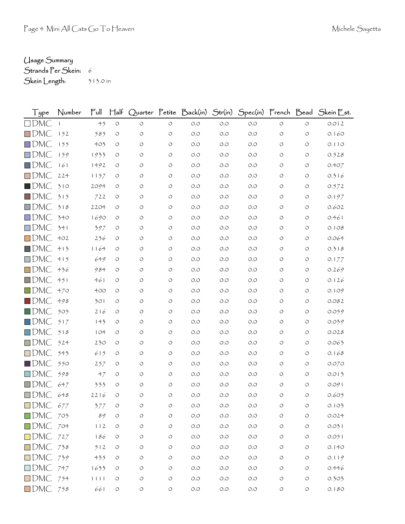## Usage Summary

Strands Per Skein: 6

Skein Length: 313.0 in

| Type               | Number | $\mathsf{Full}$ | $H$ alf            |                    |                    | Quarter Petite Back(in) Str(in) |       |       |                    |                    | Spec(in) French Bead Skein Est. |
|--------------------|--------|-----------------|--------------------|--------------------|--------------------|---------------------------------|-------|-------|--------------------|--------------------|---------------------------------|
| $\Box$ DMC         |        | 45              | $\bigcirc$         | $\circ$            | $\circlearrowleft$ | $O.O$                           | O.O   | O.O   | $\circlearrowleft$ | $\circ$            | 0.012                           |
| $\square$ DMC      | 152    | 585             | $\circ$            | O                  | $\circ$            | O.O                             | O.O   | O.O   | O                  | O                  | 0.160                           |
| $\Box$ DMC         | 155    | 403             | O                  | O                  | O                  | O.O                             | O.O   | O.O   | O                  | O                  | 0.110                           |
| $\square$ DMC      | 159    | 1933            | O                  | O                  | O                  | $O.O$                           | O.O   | O.O   | O                  | O                  | 0.528                           |
| $\Box$ DMC         | 161    | 1492            | O                  | O                  | O                  | O.O                             | O.O   | O.O   | O                  | O                  | 0.407                           |
| $\square$ DMC      | 224    | 1157            | O                  | O                  | O                  | O.O                             | O.O   | O.O   | O                  | O                  | 0.316                           |
| $\blacksquare$ DMC | 310    | 2094            | O                  | O                  | O                  | $O.O$                           | O.O   | $O.O$ | O                  | O                  | 0.572                           |
| $\Box$ DMC         | 315    | 722             | O                  | O                  | O                  | $O.O$                           | O.O   | O.O   | O                  | O                  | 0.197                           |
| $\Box$ DMC         | 318    | 2204            | O                  | $\circ$            | O                  | O.O                             | O.O   | O.O   | O                  | O                  | 0.602                           |
| $\Box$ DMC         | 340    | 1690            | $\circ$            | O                  | O                  | $O.O$                           | O.O   | $O.O$ | O                  | O                  | 0.461                           |
| $\Box$ DMC         | 341    | 397             | O                  | O                  | O                  | O.O                             | O.O   | O.O   | O                  | O                  | 0.108                           |
| $\Box$ DMC         | 402    | 236             | O                  | O                  | O                  | O.O                             | O.O   | O.O   | O                  | O                  | 0.064                           |
| $\blacksquare$ DMC | 413    | 1164            | $\circ$            | O                  | O                  | O.O                             | O.O   | O.O   | O                  | O                  | 0.318                           |
| $\Box$ DMC         | 415    | 649             | $\circ$            | O                  | O                  | O.O                             | O.O   | O.O   | O                  | O                  | 0.177                           |
| $\Box$ DMC         | 436    | 984             | O                  | O                  | O                  | O.O                             | O.O   | O.O   | O                  | O                  | 0.269                           |
| $\Box$ DMC         | 451    | 461             | O                  | O                  | O                  | $O.O$                           | O.O   | O.O   | O                  | O                  | 0.126                           |
| $\Box$ DMC         | 470    | 400             | $\circ$            | O                  | O                  | O.O                             | O.O   | O.O   | O                  | $\circ$            | 0.109                           |
| $\blacksquare$ DMC | 498    | 301             | O                  | O                  | O                  | O.O                             | O.O   | O.O   | O                  | O                  | 0.082                           |
| $\square$ DMC      | 505    | 216             | $\circ$            | O                  | O                  | O.O                             | 0.0   | O.O   | O                  | O                  | 0.059                           |
| $\Box$ DMC         | 517    | 143             | $\circ$            | O                  | O                  | O.O                             | O.O   | O.O   | O                  | O                  | 0.039                           |
| $\Box$ DMC         | 518    | 104             | $\circ$            | O                  | O                  | O.O                             | O.O   | O.O   | O                  | O                  | 0.028                           |
| $\square$ DMC      | 524    | 230             | O                  | O                  | O                  | O.O                             | O.O   | O.O   | O                  | O                  | 0.063                           |
| $\Box$ DMC         | 543    | 615             | $\circ$            | O                  | O                  | O.O                             | O.O   | O.O   | O                  | O                  | 0.168                           |
| $\blacksquare$ DMC | 550    | 257             | O                  | O                  | O                  | O.O                             | O.O   | O.O   | O                  | O                  | 0.070                           |
| $\Box$ DMC         | 598    | 47              | O                  | O                  | O                  | $O.O$                           | O.O   | O.O   | O                  | O                  | 0.013                           |
| $\Box$ DMC         | 647    | 333             | O                  | O                  | O                  | $O.O$                           | O.O   | $O.O$ | O                  | O                  | 0.091                           |
| $\square$ DMC      | 648    | 2216            | $\circ$            | $\circ$            | $\bigcirc$         | $O.O$                           | 0.0   | O.O   | O                  | O                  | 0.605                           |
| $\Box$ DMC 677     |        | 377             |                    | O                  | O                  | O.O                             | O.O   | O.O   | O                  | O                  | 0.103                           |
| $\Box$ DMC 703     |        | 89              | $\circ$            | $\circlearrowleft$ | $\bigcirc$         | $O.O$                           | $O.O$ | $O.O$ | O                  | $\circlearrowleft$ | 0.024                           |
| $\Box$ DMC $704$   |        | 112             | $\circ$            | $\circlearrowleft$ | $\bigcirc$         | $O.O$                           | $O.O$ | $O.O$ | O                  | $\bigcirc$         | 0.031                           |
| $\Box$ DMC 727     |        | 186             | $\circ$            | O                  | O                  | $O.O$                           | $O.O$ | $O.O$ | O                  | O                  | 0.051                           |
| $\Box$ DMC 738     |        | 512             | $\circ$            | $\circ$            | $\bigcirc$         | $O.O$                           | O.O   | $O.O$ | O                  | O                  | 0.140                           |
| $\Box$ DMC 739     |        | 435             | $\circ$            | $\bigcirc$         | $\bigcirc$         | $O.O$                           | $O.O$ | $O.O$ | O                  | $\bigcirc$         | 0.119                           |
| $\Box$ DMC 747     |        | 1633            | O                  | O                  | $\bigcirc$         | $O.O$                           | O.O   | $O.O$ | O                  | $\bigcirc$         | 0.446                           |
| $\Box$ DMC 754     |        | 1111            | $\circ$            | $\circ$            | $\bigcirc$         | $O.O$                           | $O.O$ | O.O   | O                  | O                  | 0.303                           |
| $\Box$ DMC 758     |        | 661             | $\circlearrowleft$ | $\circ$            | $\circ$            | $O.O$                           | $O.O$ | $O.O$ | $\circ$            | $\bigcirc$         | 0.180                           |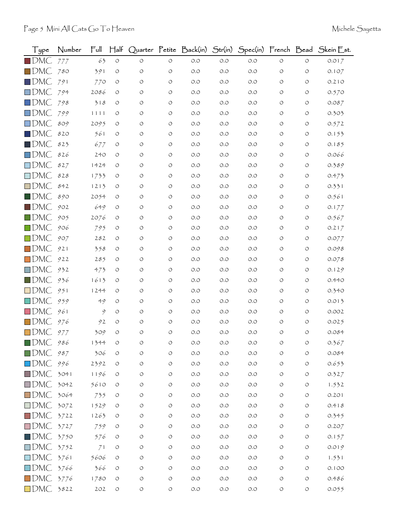| $1$ ype                 | Number | Ful  | $H$ alf    |            |                    | Quarter Petite Back(in) Str(in) |       |       |                    |                    | Spec(in) French Bead Skein Est. |
|-------------------------|--------|------|------------|------------|--------------------|---------------------------------|-------|-------|--------------------|--------------------|---------------------------------|
| $\blacksquare$ DMC      | 777    | 63   | $\circ$    | $\circ$    | $\circlearrowleft$ | $O.O$                           | O.O   | O.O   | $\circlearrowleft$ | $\circ$            | 0.017                           |
| $\square$ DMC           | 780    | 391  | O          | O          | O                  | $O.O$                           | O.O   | O.O   | O                  | $\circ$            | 0.107                           |
| $\Box$ DMC              | 791    | 770  | O          | O          | O                  | $O.O$                           | O.O   | O.O   | O                  | $\circ$            | 0.210                           |
| $\square$ DMC           | 794    | 2086 | O          | O          | O                  | O.O                             | O.O   | O.O   | $\circ$            | $\circ$            | 0.570                           |
| $\square$ DMC           | 798    | 318  | O          | O          | O                  | O.O                             | O.O   | O.O   | O                  | $\circ$            | 0.087                           |
| $\square$ DMC           | 799    | 1111 | O          | O          | O                  | O.O                             | O.O   | O.O   | O                  | $\circ$            | 0.303                           |
| $\square$ DMC           | 809    | 2095 | O          | O          | O                  | O.O                             | O.O   | O.O   | O                  | $\circ$            | 0.572                           |
| $\square$ DMC           | 820    | 561  | O          | O          | O                  | O.O                             | 0.0   | O.O   | O                  | $\circ$            | 0.153                           |
| $\blacksquare$ DMC      | 823    | 677  | O          | O          | O                  | O.O                             | O.O   | O.O   | O                  | $\circ$            | 0.185                           |
| $\square$ DMC           | 826    | 240  | O          | O          | O                  | O.O                             | O.O   | O.O   | O                  | $\circ$            | 0.066                           |
| $\square$ DMC           | 827    | 1424 | O          | O          | $\circ$            | O.O                             | O.O   | O.O   | O                  | $\circ$            | 0.389                           |
| $\square$ DMC           | $828$  | 1733 | O          | O          | O                  | O.O                             | 0.0   | O.O   | $\circ$            | $\circ$            | 0.473                           |
| $\square$ DMC           | 842    | 1213 | O          | $\circ$    | O                  | $O.O$                           | O.O   | O.O   | O                  | $\circ$            | 0.331                           |
| $\blacksquare$ DMC      | 890    | 2054 | O          | O          | O                  | O.O                             | O.O   | O.O   | O                  | $\circ$            | 0.561                           |
| $\blacksquare$ DMC      | 902    | 649  | O          | O          | O                  | O.O                             | O.O   | O.O   | O                  | $\circ$            | 0.177                           |
| $\square$ DMC           | 905    | 2076 | O          | O          | O                  | O.O                             | O.O   | O.O   | O                  | $\circ$            | 0.567                           |
| $\blacksquare$ DMC      | 906    | 795  | O          | O          | O                  | O.O                             | O.O   | O.O   | O                  | $\circ$            | 0.217                           |
| $\square$ DMC           | 907    | 282  | O          | O          | O                  | O.O                             | O.O   | O.O   | O                  | $\circ$            | 0.077                           |
| $\square$ DMC           | 921    | 358  | O          | O          | O                  | O.O                             | O.O   | O.O   | $\circ$            | $\circ$            | 0.098                           |
| $\square$ DMC           | 922    | 285  | O          | O          | O                  | O.O                             | O.O   | O.O   | O                  | $\circ$            | 0.078                           |
| $\square$ DMC           | 932    | 473  | O          | O          | O                  | O.O                             | O.O   | O.O   | $\circ$            | $\circ$            | 0.129                           |
| $\blacksquare$ DMC      | 936    | 1613 | O          | O          | O                  | $O.O$                           | O.O   | O.O   | O                  | $\circ$            | 0.440                           |
| $\square$ DMC           | 951    | 1244 | O          | O          | O                  | O.O                             | O.O   | O.O   | $\circ$            | $\circ$            | 0.340                           |
| $\square$ DMC           | 959    | 49   | O          | O          | O                  | O.O                             | O.O   | O.O   | O                  | $\circ$            | 0.013                           |
| $\square$ DMC           | 961    | 9    | O          | O          | O                  | O.O                             | O.O   | O.O   | O                  | $\circ$            | 0.002                           |
| $\square$ DMC           | 976    | 92   | O          | O          | O                  | O.O                             | O.O   | O.O   | O                  | $\circ$            | 0.025                           |
| $\square$ DMC           | 977    | 309  | $\circ$    | O          | O                  | O.O                             | O.O   | O.O   | $\circ$            | $\circ$            | 0.084                           |
| $\blacksquare$ DMC      | 986    | 1344 | O          | O          | O                  | O.O                             | O.O   | O.O   | O                  | O                  | 0.367                           |
| $\square$ DMC           | 987    | 306  | O          | $\circ$    | O                  | O.O                             | O.O   | $O.O$ | $\circ$            | $\circlearrowleft$ | 0.084                           |
| $\square$ DMC           | 996    | 2392 | $\circ$    | $\circ$    | $\circlearrowleft$ | $O.O$                           | $O.O$ | $O.O$ | $\circ$            | $\circlearrowleft$ | 0.653                           |
| $\square$ DMC           | 3041   | 1196 | O          | O          | $\circlearrowleft$ | $O.O$                           | O.O   | O.O   | $\circ$            | $\circ$            | 0.327                           |
| $\square$ DMC           | 3042   | 5610 | O          | O          | $\circlearrowleft$ | $O.O$                           | O.O   | $O.O$ | O                  | $\circ$            | 1.532                           |
| $\square$ DMC           | 3064   | 735  | $\circ$    | $\circ$    | O                  | $O.O$                           | O.O   | O.O   | $\circ$            | $\circ$            | 0.201                           |
| $\square$ DMC           | 3072   | 1529 | O          | O          | O                  | O.O                             | $O.O$ | $O.O$ | $\circ$            | $\circ$            | 0.418                           |
| $\square$ DMC           | 3722   | 1263 | O          | O          | $\circ$            | $O.O$                           | O.O   | $O.O$ | O                  | $\circ$            | 0.345                           |
| $\square$ DMC           | 3727   | 759  | $\circ$    | O          | O                  | O.O                             | O.O   | O.O   | O                  | $\circ$            | 0.207                           |
| $\blacksquare$ DMC      | 3750   | 576  | O          | O          | O                  | $O.O$                           | O.O   | $O.O$ | $\circ$            | $\circ$            | 0.157                           |
| $\square$ DMC           | 3752   | 71   | O          | O          | O                  | $O.O$                           | $O.O$ | $O.O$ | O                  | $\circ$            | 0.019                           |
| $\square$ DMC           | 3761   | 5606 | O          | O          | O                  | O.O                             | O.O   | O.O   | $\circ$            | $\circ$            | 1.531                           |
| $\square$ DMC           | 3766   | 366  | O          | O          | $\circ$            | $O.O$                           | $O.O$ | $O.O$ | O                  | $\circ$            | 0.100                           |
| $\blacksquare$ DMC 3776 |        | 1780 | $\circ$    | O          | $\circ$            | $O.O$                           | $O.O$ | $O.O$ | $\circ$            | $\circ$            | 0.486                           |
| $\square$ DMC           | 3822   | 202  | $\bigcirc$ | $\bigcirc$ | $\circlearrowleft$ | $O.O$                           | O.O   | O.O   | $\circlearrowleft$ | $\circlearrowleft$ | 0.055                           |